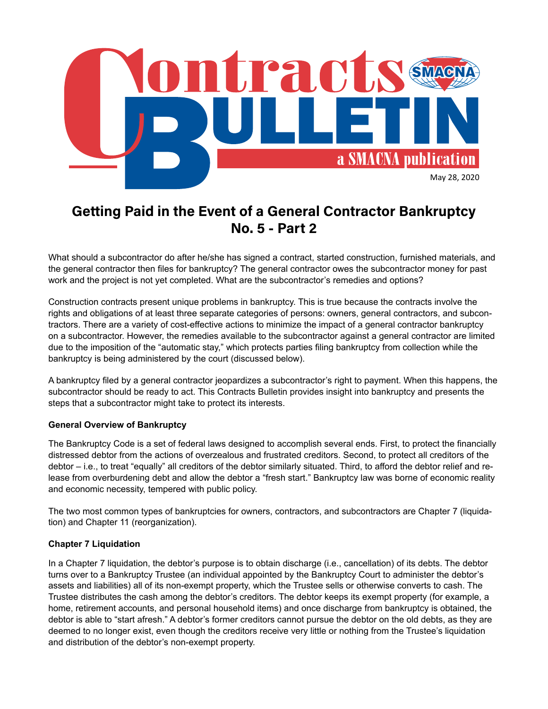

# **Getting Paid in the Event of a General Contractor Bankruptcy No. 5 - Part 2**

What should a subcontractor do after he/she has signed a contract, started construction, furnished materials, and the general contractor then files for bankruptcy? The general contractor owes the subcontractor money for past work and the project is not yet completed. What are the subcontractor's remedies and options?

Construction contracts present unique problems in bankruptcy. This is true because the contracts involve the rights and obligations of at least three separate categories of persons: owners, general contractors, and subcontractors. There are a variety of cost-effective actions to minimize the impact of a general contractor bankruptcy on a subcontractor. However, the remedies available to the subcontractor against a general contractor are limited due to the imposition of the "automatic stay," which protects parties filing bankruptcy from collection while the bankruptcy is being administered by the court (discussed below).

A bankruptcy filed by a general contractor jeopardizes a subcontractor's right to payment. When this happens, the subcontractor should be ready to act. This Contracts Bulletin provides insight into bankruptcy and presents the steps that a subcontractor might take to protect its interests.

## **General Overview of Bankruptcy**

The Bankruptcy Code is a set of federal laws designed to accomplish several ends. First, to protect the financially distressed debtor from the actions of overzealous and frustrated creditors. Second, to protect all creditors of the debtor – i.e., to treat "equally" all creditors of the debtor similarly situated. Third, to afford the debtor relief and release from overburdening debt and allow the debtor a "fresh start." Bankruptcy law was borne of economic reality and economic necessity, tempered with public policy.

The two most common types of bankruptcies for owners, contractors, and subcontractors are Chapter 7 (liquidation) and Chapter 11 (reorganization).

## **Chapter 7 Liquidation**

In a Chapter 7 liquidation, the debtor's purpose is to obtain discharge (i.e., cancellation) of its debts. The debtor turns over to a Bankruptcy Trustee (an individual appointed by the Bankruptcy Court to administer the debtor's assets and liabilities) all of its non-exempt property, which the Trustee sells or otherwise converts to cash. The Trustee distributes the cash among the debtor's creditors. The debtor keeps its exempt property (for example, a home, retirement accounts, and personal household items) and once discharge from bankruptcy is obtained, the debtor is able to "start afresh." A debtor's former creditors cannot pursue the debtor on the old debts, as they are deemed to no longer exist, even though the creditors receive very little or nothing from the Trustee's liquidation and distribution of the debtor's non-exempt property.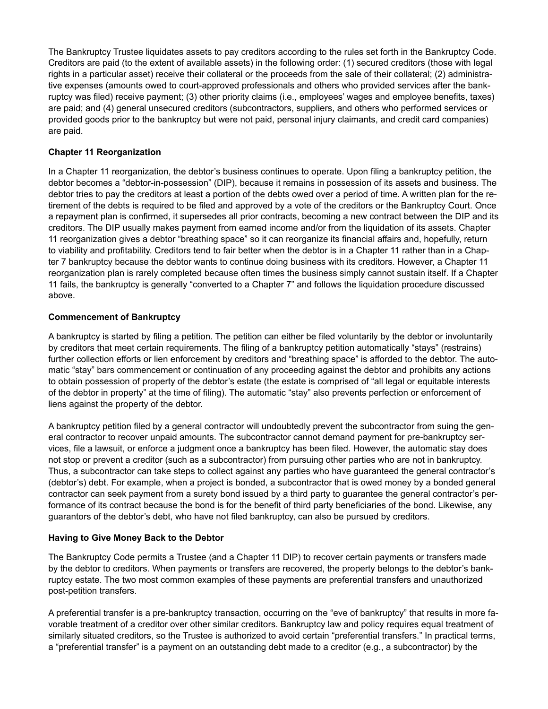The Bankruptcy Trustee liquidates assets to pay creditors according to the rules set forth in the Bankruptcy Code. Creditors are paid (to the extent of available assets) in the following order: (1) secured creditors (those with legal rights in a particular asset) receive their collateral or the proceeds from the sale of their collateral; (2) administrative expenses (amounts owed to court-approved professionals and others who provided services after the bankruptcy was filed) receive payment; (3) other priority claims (i.e., employees' wages and employee benefits, taxes) are paid; and (4) general unsecured creditors (subcontractors, suppliers, and others who performed services or provided goods prior to the bankruptcy but were not paid, personal injury claimants, and credit card companies) are paid.

### **Chapter 11 Reorganization**

In a Chapter 11 reorganization, the debtor's business continues to operate. Upon filing a bankruptcy petition, the debtor becomes a "debtor-in-possession" (DIP), because it remains in possession of its assets and business. The debtor tries to pay the creditors at least a portion of the debts owed over a period of time. A written plan for the retirement of the debts is required to be filed and approved by a vote of the creditors or the Bankruptcy Court. Once a repayment plan is confirmed, it supersedes all prior contracts, becoming a new contract between the DIP and its creditors. The DIP usually makes payment from earned income and/or from the liquidation of its assets. Chapter 11 reorganization gives a debtor "breathing space" so it can reorganize its financial affairs and, hopefully, return to viability and profitability. Creditors tend to fair better when the debtor is in a Chapter 11 rather than in a Chapter 7 bankruptcy because the debtor wants to continue doing business with its creditors. However, a Chapter 11 reorganization plan is rarely completed because often times the business simply cannot sustain itself. If a Chapter 11 fails, the bankruptcy is generally "converted to a Chapter 7" and follows the liquidation procedure discussed above.

#### **Commencement of Bankruptcy**

A bankruptcy is started by filing a petition. The petition can either be filed voluntarily by the debtor or involuntarily by creditors that meet certain requirements. The filing of a bankruptcy petition automatically "stays" (restrains) further collection efforts or lien enforcement by creditors and "breathing space" is afforded to the debtor. The automatic "stay" bars commencement or continuation of any proceeding against the debtor and prohibits any actions to obtain possession of property of the debtor's estate (the estate is comprised of "all legal or equitable interests of the debtor in property" at the time of filing). The automatic "stay" also prevents perfection or enforcement of liens against the property of the debtor.

A bankruptcy petition filed by a general contractor will undoubtedly prevent the subcontractor from suing the general contractor to recover unpaid amounts. The subcontractor cannot demand payment for pre-bankruptcy services, file a lawsuit, or enforce a judgment once a bankruptcy has been filed. However, the automatic stay does not stop or prevent a creditor (such as a subcontractor) from pursuing other parties who are not in bankruptcy. Thus, a subcontractor can take steps to collect against any parties who have guaranteed the general contractor's (debtor's) debt. For example, when a project is bonded, a subcontractor that is owed money by a bonded general contractor can seek payment from a surety bond issued by a third party to guarantee the general contractor's performance of its contract because the bond is for the benefit of third party beneficiaries of the bond. Likewise, any guarantors of the debtor's debt, who have not filed bankruptcy, can also be pursued by creditors.

#### **Having to Give Money Back to the Debtor**

The Bankruptcy Code permits a Trustee (and a Chapter 11 DIP) to recover certain payments or transfers made by the debtor to creditors. When payments or transfers are recovered, the property belongs to the debtor's bankruptcy estate. The two most common examples of these payments are preferential transfers and unauthorized post-petition transfers.

A preferential transfer is a pre-bankruptcy transaction, occurring on the "eve of bankruptcy" that results in more favorable treatment of a creditor over other similar creditors. Bankruptcy law and policy requires equal treatment of similarly situated creditors, so the Trustee is authorized to avoid certain "preferential transfers." In practical terms, a "preferential transfer" is a payment on an outstanding debt made to a creditor (e.g., a subcontractor) by the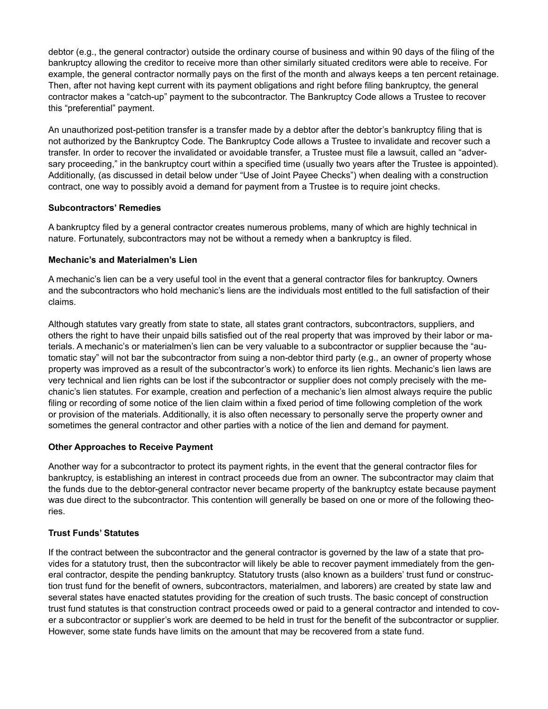debtor (e.g., the general contractor) outside the ordinary course of business and within 90 days of the filing of the bankruptcy allowing the creditor to receive more than other similarly situated creditors were able to receive. For example, the general contractor normally pays on the first of the month and always keeps a ten percent retainage. Then, after not having kept current with its payment obligations and right before filing bankruptcy, the general contractor makes a "catch-up" payment to the subcontractor. The Bankruptcy Code allows a Trustee to recover this "preferential" payment.

An unauthorized post-petition transfer is a transfer made by a debtor after the debtor's bankruptcy filing that is not authorized by the Bankruptcy Code. The Bankruptcy Code allows a Trustee to invalidate and recover such a transfer. In order to recover the invalidated or avoidable transfer, a Trustee must file a lawsuit, called an "adversary proceeding," in the bankruptcy court within a specified time (usually two years after the Trustee is appointed). Additionally, (as discussed in detail below under "Use of Joint Payee Checks") when dealing with a construction contract, one way to possibly avoid a demand for payment from a Trustee is to require joint checks.

## **Subcontractors' Remedies**

A bankruptcy filed by a general contractor creates numerous problems, many of which are highly technical in nature. Fortunately, subcontractors may not be without a remedy when a bankruptcy is filed.

#### **Mechanic's and Materialmen's Lien**

A mechanic's lien can be a very useful tool in the event that a general contractor files for bankruptcy. Owners and the subcontractors who hold mechanic's liens are the individuals most entitled to the full satisfaction of their claims.

Although statutes vary greatly from state to state, all states grant contractors, subcontractors, suppliers, and others the right to have their unpaid bills satisfied out of the real property that was improved by their labor or materials. A mechanic's or materialmen's lien can be very valuable to a subcontractor or supplier because the "automatic stay" will not bar the subcontractor from suing a non-debtor third party (e.g., an owner of property whose property was improved as a result of the subcontractor's work) to enforce its lien rights. Mechanic's lien laws are very technical and lien rights can be lost if the subcontractor or supplier does not comply precisely with the mechanic's lien statutes. For example, creation and perfection of a mechanic's lien almost always require the public filing or recording of some notice of the lien claim within a fixed period of time following completion of the work or provision of the materials. Additionally, it is also often necessary to personally serve the property owner and sometimes the general contractor and other parties with a notice of the lien and demand for payment.

#### **Other Approaches to Receive Payment**

Another way for a subcontractor to protect its payment rights, in the event that the general contractor files for bankruptcy, is establishing an interest in contract proceeds due from an owner. The subcontractor may claim that the funds due to the debtor-general contractor never became property of the bankruptcy estate because payment was due direct to the subcontractor. This contention will generally be based on one or more of the following theories.

#### **Trust Funds' Statutes**

If the contract between the subcontractor and the general contractor is governed by the law of a state that provides for a statutory trust, then the subcontractor will likely be able to recover payment immediately from the general contractor, despite the pending bankruptcy. Statutory trusts (also known as a builders' trust fund or construction trust fund for the benefit of owners, subcontractors, materialmen, and laborers) are created by state law and several states have enacted statutes providing for the creation of such trusts. The basic concept of construction trust fund statutes is that construction contract proceeds owed or paid to a general contractor and intended to cover a subcontractor or supplier's work are deemed to be held in trust for the benefit of the subcontractor or supplier. However, some state funds have limits on the amount that may be recovered from a state fund.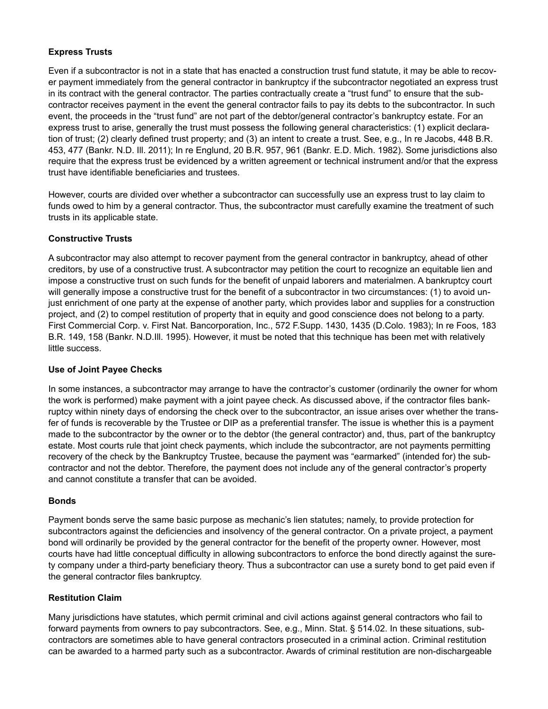## **Express Trusts**

Even if a subcontractor is not in a state that has enacted a construction trust fund statute, it may be able to recover payment immediately from the general contractor in bankruptcy if the subcontractor negotiated an express trust in its contract with the general contractor. The parties contractually create a "trust fund" to ensure that the subcontractor receives payment in the event the general contractor fails to pay its debts to the subcontractor. In such event, the proceeds in the "trust fund" are not part of the debtor/general contractor's bankruptcy estate. For an express trust to arise, generally the trust must possess the following general characteristics: (1) explicit declaration of trust; (2) clearly defined trust property; and (3) an intent to create a trust. See, e.g., In re Jacobs, 448 B.R. 453, 477 (Bankr. N.D. Ill. 2011); In re Englund, 20 B.R. 957, 961 (Bankr. E.D. Mich. 1982). Some jurisdictions also require that the express trust be evidenced by a written agreement or technical instrument and/or that the express trust have identifiable beneficiaries and trustees.

However, courts are divided over whether a subcontractor can successfully use an express trust to lay claim to funds owed to him by a general contractor. Thus, the subcontractor must carefully examine the treatment of such trusts in its applicable state.

## **Constructive Trusts**

A subcontractor may also attempt to recover payment from the general contractor in bankruptcy, ahead of other creditors, by use of a constructive trust. A subcontractor may petition the court to recognize an equitable lien and impose a constructive trust on such funds for the benefit of unpaid laborers and materialmen. A bankruptcy court will generally impose a constructive trust for the benefit of a subcontractor in two circumstances: (1) to avoid unjust enrichment of one party at the expense of another party, which provides labor and supplies for a construction project, and (2) to compel restitution of property that in equity and good conscience does not belong to a party. First Commercial Corp. v. First Nat. Bancorporation, Inc., 572 F.Supp. 1430, 1435 (D.Colo. 1983); In re Foos, 183 B.R. 149, 158 (Bankr. N.D.Ill. 1995). However, it must be noted that this technique has been met with relatively little success.

## **Use of Joint Payee Checks**

In some instances, a subcontractor may arrange to have the contractor's customer (ordinarily the owner for whom the work is performed) make payment with a joint payee check. As discussed above, if the contractor files bankruptcy within ninety days of endorsing the check over to the subcontractor, an issue arises over whether the transfer of funds is recoverable by the Trustee or DIP as a preferential transfer. The issue is whether this is a payment made to the subcontractor by the owner or to the debtor (the general contractor) and, thus, part of the bankruptcy estate. Most courts rule that joint check payments, which include the subcontractor, are not payments permitting recovery of the check by the Bankruptcy Trustee, because the payment was "earmarked" (intended for) the subcontractor and not the debtor. Therefore, the payment does not include any of the general contractor's property and cannot constitute a transfer that can be avoided.

## **Bonds**

Payment bonds serve the same basic purpose as mechanic's lien statutes; namely, to provide protection for subcontractors against the deficiencies and insolvency of the general contractor. On a private project, a payment bond will ordinarily be provided by the general contractor for the benefit of the property owner. However, most courts have had little conceptual difficulty in allowing subcontractors to enforce the bond directly against the surety company under a third-party beneficiary theory. Thus a subcontractor can use a surety bond to get paid even if the general contractor files bankruptcy.

## **Restitution Claim**

Many jurisdictions have statutes, which permit criminal and civil actions against general contractors who fail to forward payments from owners to pay subcontractors. See, e.g., Minn. Stat. § 514.02. In these situations, subcontractors are sometimes able to have general contractors prosecuted in a criminal action. Criminal restitution can be awarded to a harmed party such as a subcontractor. Awards of criminal restitution are non-dischargeable